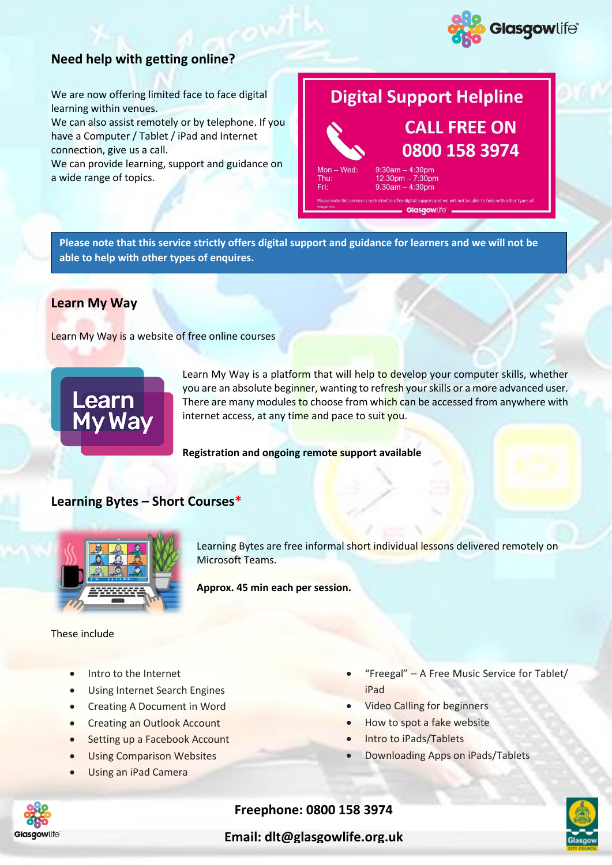

# **Need help with getting online?**

We are now offering limited face to face digital learning within venues.

We can also assist remotely or by telephone. If you have a Computer / Tablet / iPad and Internet connection, give us a call.

We can provide learning, support and guidance on a wide range of topics.

# **Digital Support Helpline CALL FREE ON**



Thu: Fri:

 $9:30am - 4:30pm$  $12.30 \text{pm} - 7:30 \text{pm}$ <br>9.30am - 4:30pm

digital: Glasgowlife

0800 158 3974

**Please note that this service strictly offers digital support and guidance for learners and we will not be able to help with other types of enquires.**

## **Learn My Way**

Learn My Way is a website of free online courses



Learn My Way is a platform that will help to develop your computer skills, whether you are an absolute beginner, wanting to refresh your skills or a more advanced user. There are many modules to choose from which can be accessed from anywhere with internet access, at any time and pace to suit you.

**Registration and ongoing remote support available**

## **Learning Bytes – Short Courses\***



Learning Bytes are free informal short individual lessons delivered remotely on Microsoft Teams.

**Approx. 45 min each per session.**

#### These include

- Intro to the Internet
- Using Internet Search Engines
- Creating A Document in Word
- **Creating an Outlook Account**
- Setting up a Facebook Account
- **Using Comparison Websites**
- Using an iPad Camera
- "Freegal"  $-$  A Free Music Service for Tablet/ iPad
- Video Calling for beginners
- How to spot a fake website
- Intro to iPads/Tablets
- Downloading Apps on iPads/Tablets



## **Freephone: 0800 158 3974**

**Email: dlt@glasgowlife.org.uk**